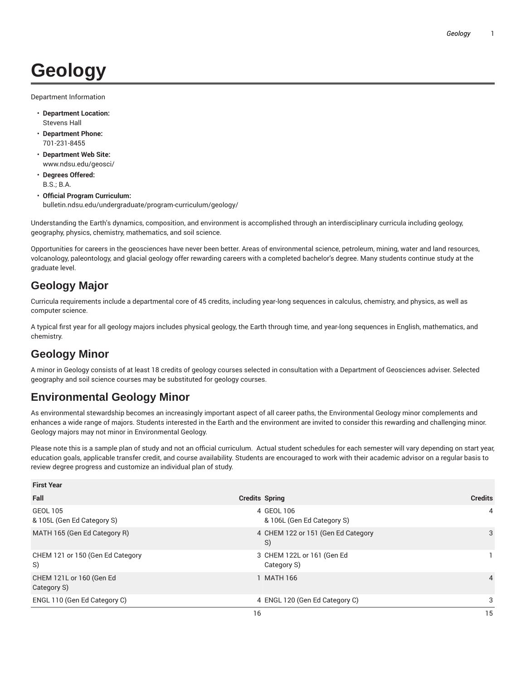# **Geology**

Department Information

- **Department Location:** Stevens Hall
- **Department Phone:** 701-231-8455
- **Department Web Site:** www.ndsu.edu/geosci/
- **Degrees Offered:** B.S.; B.A.
- **Official Program Curriculum:** bulletin.ndsu.edu/undergraduate/program-curriculum/geology/

Understanding the Earth's dynamics, composition, and environment is accomplished through an interdisciplinary curricula including geology, geography, physics, chemistry, mathematics, and soil science.

Opportunities for careers in the geosciences have never been better. Areas of environmental science, petroleum, mining, water and land resources, volcanology, paleontology, and glacial geology offer rewarding careers with a completed bachelor's degree. Many students continue study at the graduate level.

#### **Geology Major**

Curricula requirements include a departmental core of 45 credits, including year-long sequences in calculus, chemistry, and physics, as well as computer science.

A typical first year for all geology majors includes physical geology, the Earth through time, and year-long sequences in English, mathematics, and chemistry.

## **Geology Minor**

A minor in Geology consists of at least 18 credits of geology courses selected in consultation with a Department of Geosciences adviser. Selected geography and soil science courses may be substituted for geology courses.

## **Environmental Geology Minor**

As environmental stewardship becomes an increasingly important aspect of all career paths, the Environmental Geology minor complements and enhances a wide range of majors. Students interested in the Earth and the environment are invited to consider this rewarding and challenging minor. Geology majors may not minor in Environmental Geology.

Please note this is a sample plan of study and not an official curriculum. Actual student schedules for each semester will vary depending on start year, education goals, applicable transfer credit, and course availability. Students are encouraged to work with their academic advisor on a regular basis to review degree progress and customize an individual plan of study.

| <b>First Year</b>                             |                                           |                |
|-----------------------------------------------|-------------------------------------------|----------------|
| Fall                                          | <b>Credits Spring</b>                     | <b>Credits</b> |
| <b>GEOL 105</b><br>& 105L (Gen Ed Category S) | 4 GEOL 106<br>& 106L (Gen Ed Category S)  | 4              |
| MATH 165 (Gen Ed Category R)                  | 4 CHEM 122 or 151 (Gen Ed Category<br>S)  | 3              |
| CHEM 121 or 150 (Gen Ed Category<br>S)        | 3 CHEM 122L or 161 (Gen Ed<br>Category S) |                |
| CHEM 121L or 160 (Gen Ed<br>Category S)       | 1 MATH 166                                | $\overline{4}$ |
| ENGL 110 (Gen Ed Category C)                  | 4 ENGL 120 (Gen Ed Category C)            | 3              |
|                                               | 16                                        | 15             |